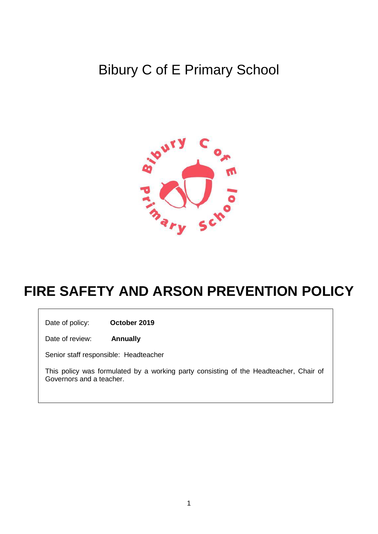# Bibury C of E Primary School



# **FIRE SAFETY AND ARSON PREVENTION POLICY**

Date of policy: **October 2019**

Date of review: **Annually**

Senior staff responsible: Headteacher

This policy was formulated by a working party consisting of the Headteacher, Chair of Governors and a teacher.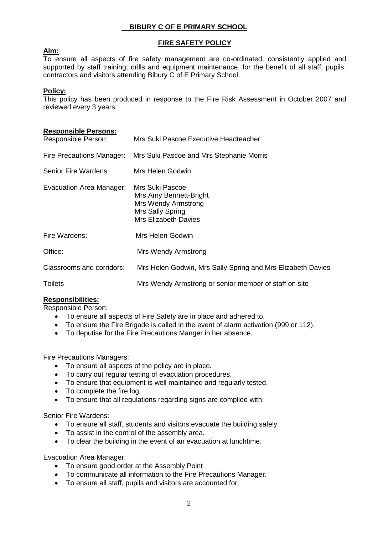# **BIBURY C OF E PRIMARY SCHOOL**

## **FIRE SAFETY POLICY**

## **Aim:**

To ensure all aspects of fire safety management are co-ordinated, consistently applied and supported by staff training, drills and equipment maintenance, for the benefit of all staff, pupils, contractors and visitors attending Bibury C of E Primary School.

### **Policy:**

This policy has been produced in response to the Fire Risk Assessment in October 2007 and reviewed every 3 years.

#### **Responsible Persons:**

| Responsible Person:       | Mrs Suki Pascoe Executive Headteacher                                                                               |  |
|---------------------------|---------------------------------------------------------------------------------------------------------------------|--|
| Fire Precautions Manager: | Mrs Suki Pascoe and Mrs Stephanie Morris                                                                            |  |
| Senior Fire Wardens:      | Mrs Helen Godwin                                                                                                    |  |
| Evacuation Area Manager:  | Mrs Suki Pascoe<br>Mrs Amy Bennett-Bright<br>Mrs Wendy Armstrong<br>Mrs Sally Spring<br><b>Mrs Elizabeth Davies</b> |  |
| Fire Wardens:             | Mrs Helen Godwin                                                                                                    |  |
| Office:                   | Mrs Wendy Armstrong                                                                                                 |  |
| Classrooms and corridors: | Mrs Helen Godwin, Mrs Sally Spring and Mrs Elizabeth Davies                                                         |  |
| <b>Toilets</b>            | Mrs Wendy Armstrong or senior member of staff on site                                                               |  |

## **Responsibilities:**

Responsible Person:

- To ensure all aspects of Fire Safety are in place and adhered to.
- To ensure the Fire Brigade is called in the event of alarm activation (999 or 112).
- To deputise for the Fire Precautions Manger in her absence.

Fire Precautions Managers:

- To ensure all aspects of the policy are in place.
- To carry out regular testing of evacuation procedures.
- To ensure that equipment is well maintained and regularly tested.
- To complete the fire log.
- To ensure that all regulations regarding signs are complied with.

Senior Fire Wardens:

- To ensure all staff, students and visitors evacuate the building safely.
- To assist in the control of the assembly area.
- To clear the building in the event of an evacuation at lunchtime.

Evacuation Area Manager:

- To ensure good order at the Assembly Point
- To communicate all information to the Fire Precautions Manager.
- To ensure all staff, pupils and visitors are accounted for.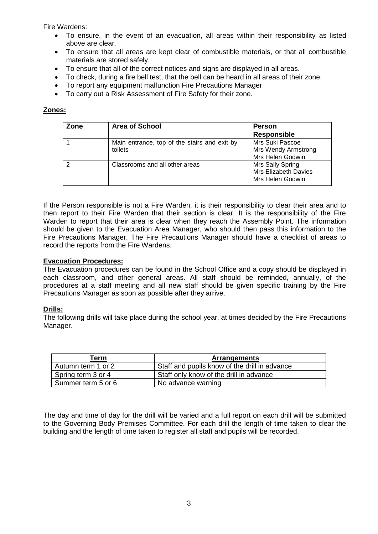Fire Wardens:

- To ensure, in the event of an evacuation, all areas within their responsibility as listed above are clear.
- To ensure that all areas are kept clear of combustible materials, or that all combustible materials are stored safely.
- To ensure that all of the correct notices and signs are displayed in all areas.
- To check, during a fire bell test, that the bell can be heard in all areas of their zone.
- To report any equipment malfunction Fire Precautions Manager
- To carry out a Risk Assessment of Fire Safety for their zone.

# **Zones:**

| Zone | <b>Area of School</b>                                   | <b>Person</b><br><b>Responsible</b>                               |
|------|---------------------------------------------------------|-------------------------------------------------------------------|
|      | Main entrance, top of the stairs and exit by<br>toilets | Mrs Suki Pascoe<br><b>Mrs Wendy Armstrong</b><br>Mrs Helen Godwin |
|      | Classrooms and all other areas                          | Mrs Sally Spring<br>Mrs Elizabeth Davies<br>Mrs Helen Godwin      |

If the Person responsible is not a Fire Warden, it is their responsibility to clear their area and to then report to their Fire Warden that their section is clear. It is the responsibility of the Fire Warden to report that their area is clear when they reach the Assembly Point. The information should be given to the Evacuation Area Manager, who should then pass this information to the Fire Precautions Manager. The Fire Precautions Manager should have a checklist of areas to record the reports from the Fire Wardens.

## **Evacuation Procedures:**

The Evacuation procedures can be found in the School Office and a copy should be displayed in each classroom, and other general areas. All staff should be reminded, annually, of the procedures at a staff meeting and all new staff should be given specific training by the Fire Precautions Manager as soon as possible after they arrive.

## **Drills:**

The following drills will take place during the school year, at times decided by the Fire Precautions Manager.

| Геrm               | <b>Arrangements</b>                           |
|--------------------|-----------------------------------------------|
| Autumn term 1 or 2 | Staff and pupils know of the drill in advance |
| Spring term 3 or 4 | Staff only know of the drill in advance       |
| Summer term 5 or 6 | No advance warning                            |

The day and time of day for the drill will be varied and a full report on each drill will be submitted to the Governing Body Premises Committee. For each drill the length of time taken to clear the building and the length of time taken to register all staff and pupils will be recorded.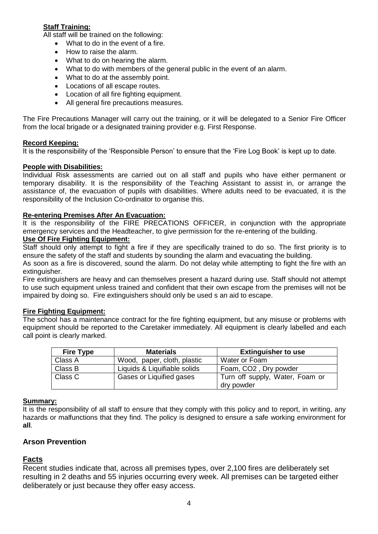# **Staff Training:**

All staff will be trained on the following:

- What to do in the event of a fire.
- How to raise the alarm.
- What to do on hearing the alarm.
- What to do with members of the general public in the event of an alarm.
- What to do at the assembly point.
- Locations of all escape routes.
- Location of all fire fighting equipment.
- All general fire precautions measures.

The Fire Precautions Manager will carry out the training, or it will be delegated to a Senior Fire Officer from the local brigade or a designated training provider e.g. First Response.

#### **Record Keeping:**

It is the responsibility of the 'Responsible Person' to ensure that the 'Fire Log Book' is kept up to date.

#### **People with Disabilities:**

Individual Risk assessments are carried out on all staff and pupils who have either permanent or temporary disability. It is the responsibility of the Teaching Assistant to assist in, or arrange the assistance of, the evacuation of pupils with disabilities. Where adults need to be evacuated, it is the responsibility of the Inclusion Co-ordinator to organise this.

#### **Re-entering Premises After An Evacuation:**

It is the responsibility of the FIRE PRECATIONS OFFICER, in conjunction with the appropriate emergency services and the Headteacher, to give permission for the re-entering of the building.

# **Use Of Fire Fighting Equipment:**

Staff should only attempt to fight a fire if they are specifically trained to do so. The first priority is to ensure the safety of the staff and students by sounding the alarm and evacuating the building.

As soon as a fire is discovered, sound the alarm. Do not delay while attempting to fight the fire with an extinguisher.

Fire extinguishers are heavy and can themselves present a hazard during use. Staff should not attempt to use such equipment unless trained and confident that their own escape from the premises will not be impaired by doing so. Fire extinguishers should only be used s an aid to escape.

#### **Fire Fighting Equipment:**

The school has a maintenance contract for the fire fighting equipment, but any misuse or problems with equipment should be reported to the Caretaker immediately. All equipment is clearly labelled and each call point is clearly marked.

| <b>Fire Type</b> | <b>Materials</b>             | <b>Extinguisher to use</b>         |
|------------------|------------------------------|------------------------------------|
| Class A          | Wood, paper, cloth, plastic  | Water or Foam                      |
| Class B          | Liquids & Liquifiable solids | Foam, CO <sub>2</sub> , Dry powder |
| Class C          | Gases or Liquified gases     | Turn off supply, Water, Foam or    |
|                  |                              | dry powder                         |

#### **Summary:**

It is the responsibility of all staff to ensure that they comply with this policy and to report, in writing, any hazards or malfunctions that they find. The policy is designed to ensure a safe working environment for **all**.

## **Arson Prevention**

## **Facts**

Recent studies indicate that, across all premises types, over 2,100 fires are deliberately set resulting in 2 deaths and 55 injuries occurring every week. All premises can be targeted either deliberately or just because they offer easy access.